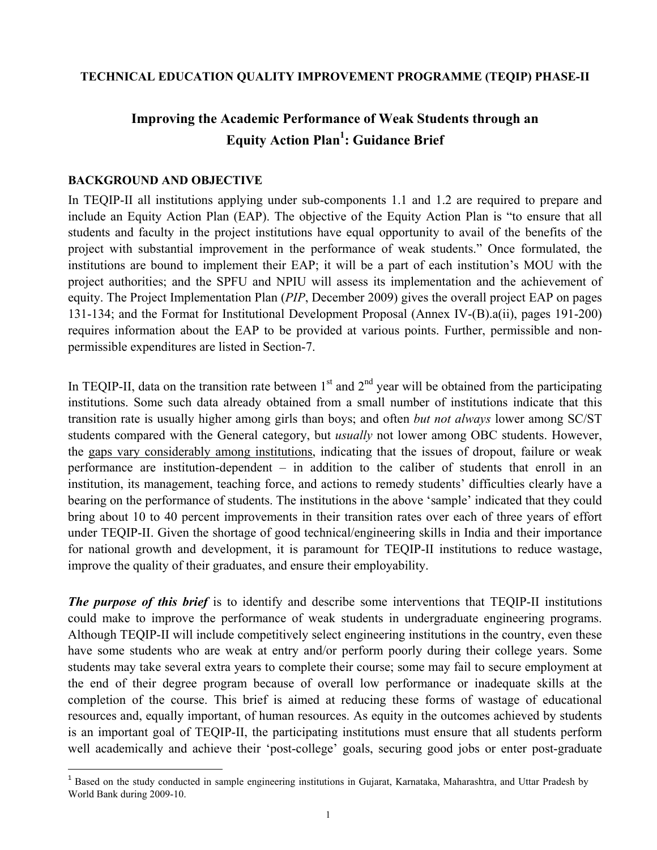#### **TECHNICAL EDUCATION QUALITY IMPROVEMENT PROGRAMME (TEQIP) PHASE-II**

# **Improving the Academic Performance of Weak Students through an Equity Action Plan1 : Guidance Brief**

#### **BACKGROUND AND OBJECTIVE**

**.** 

In TEQIP-II all institutions applying under sub-components 1.1 and 1.2 are required to prepare and include an Equity Action Plan (EAP). The objective of the Equity Action Plan is "to ensure that all students and faculty in the project institutions have equal opportunity to avail of the benefits of the project with substantial improvement in the performance of weak students." Once formulated, the institutions are bound to implement their EAP; it will be a part of each institution's MOU with the project authorities; and the SPFU and NPIU will assess its implementation and the achievement of equity. The Project Implementation Plan (*PIP*, December 2009) gives the overall project EAP on pages 131-134; and the Format for Institutional Development Proposal (Annex IV-(B).a(ii), pages 191-200) requires information about the EAP to be provided at various points. Further, permissible and nonpermissible expenditures are listed in Section-7.

In TEQIP-II, data on the transition rate between  $1<sup>st</sup>$  and  $2<sup>nd</sup>$  year will be obtained from the participating institutions. Some such data already obtained from a small number of institutions indicate that this transition rate is usually higher among girls than boys; and often *but not always* lower among SC/ST students compared with the General category, but *usually* not lower among OBC students. However, the gaps vary considerably among institutions, indicating that the issues of dropout, failure or weak performance are institution-dependent – in addition to the caliber of students that enroll in an institution, its management, teaching force, and actions to remedy students' difficulties clearly have a bearing on the performance of students. The institutions in the above 'sample' indicated that they could bring about 10 to 40 percent improvements in their transition rates over each of three years of effort under TEQIP-II. Given the shortage of good technical/engineering skills in India and their importance for national growth and development, it is paramount for TEQIP-II institutions to reduce wastage, improve the quality of their graduates, and ensure their employability.

*The purpose of this brief* is to identify and describe some interventions that TEQIP-II institutions could make to improve the performance of weak students in undergraduate engineering programs. Although TEQIP-II will include competitively select engineering institutions in the country, even these have some students who are weak at entry and/or perform poorly during their college years. Some students may take several extra years to complete their course; some may fail to secure employment at the end of their degree program because of overall low performance or inadequate skills at the completion of the course. This brief is aimed at reducing these forms of wastage of educational resources and, equally important, of human resources. As equity in the outcomes achieved by students is an important goal of TEQIP-II, the participating institutions must ensure that all students perform well academically and achieve their 'post-college' goals, securing good jobs or enter post-graduate

<sup>&</sup>lt;sup>1</sup> Based on the study conducted in sample engineering institutions in Gujarat, Karnataka, Maharashtra, and Uttar Pradesh by World Bank during 2009-10.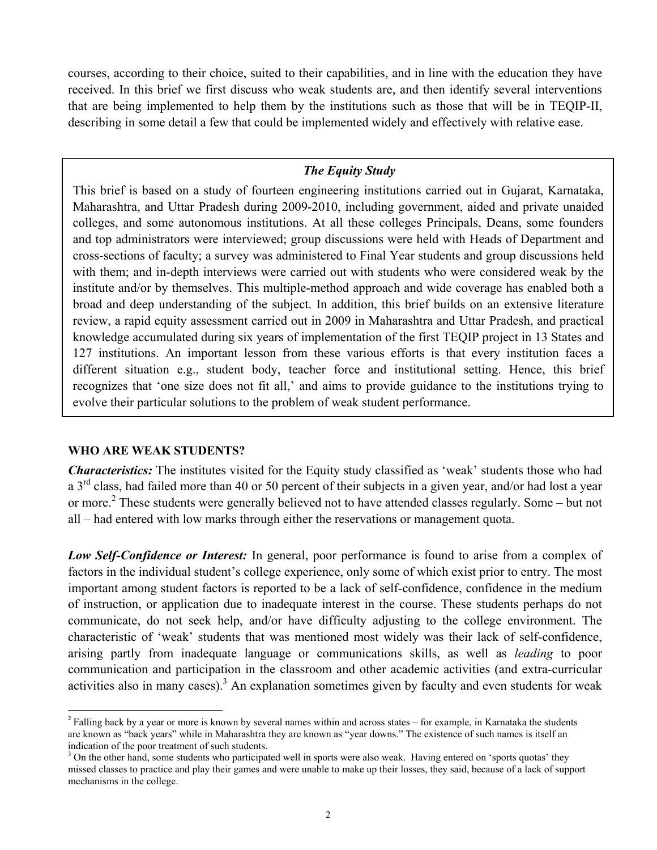courses, according to their choice, suited to their capabilities, and in line with the education they have received. In this brief we first discuss who weak students are, and then identify several interventions that are being implemented to help them by the institutions such as those that will be in TEQIP-II, describing in some detail a few that could be implemented widely and effectively with relative ease.

## *The Equity Study*

This brief is based on a study of fourteen engineering institutions carried out in Gujarat, Karnataka, Maharashtra, and Uttar Pradesh during 2009-2010, including government, aided and private unaided colleges, and some autonomous institutions. At all these colleges Principals, Deans, some founders and top administrators were interviewed; group discussions were held with Heads of Department and cross-sections of faculty; a survey was administered to Final Year students and group discussions held with them; and in-depth interviews were carried out with students who were considered weak by the institute and/or by themselves. This multiple-method approach and wide coverage has enabled both a broad and deep understanding of the subject. In addition, this brief builds on an extensive literature review, a rapid equity assessment carried out in 2009 in Maharashtra and Uttar Pradesh, and practical knowledge accumulated during six years of implementation of the first TEQIP project in 13 States and 127 institutions. An important lesson from these various efforts is that every institution faces a different situation e.g., student body, teacher force and institutional setting. Hence, this brief recognizes that 'one size does not fit all,' and aims to provide guidance to the institutions trying to evolve their particular solutions to the problem of weak student performance.

#### **WHO ARE WEAK STUDENTS?**

1

*Characteristics:* The institutes visited for the Equity study classified as 'weak' students those who had a 3<sup>rd</sup> class, had failed more than 40 or 50 percent of their subjects in a given year, and/or had lost a year or more.<sup>2</sup> These students were generally believed not to have attended classes regularly. Some – but not all – had entered with low marks through either the reservations or management quota.

*Low Self-Confidence or Interest:* In general, poor performance is found to arise from a complex of factors in the individual student's college experience, only some of which exist prior to entry. The most important among student factors is reported to be a lack of self-confidence, confidence in the medium of instruction, or application due to inadequate interest in the course. These students perhaps do not communicate, do not seek help, and/or have difficulty adjusting to the college environment. The characteristic of 'weak' students that was mentioned most widely was their lack of self-confidence, arising partly from inadequate language or communications skills, as well as *leading* to poor communication and participation in the classroom and other academic activities (and extra-curricular activities also in many cases).<sup>3</sup> An explanation sometimes given by faculty and even students for weak

 $2$  Falling back by a year or more is known by several names within and across states – for example, in Karnataka the students are known as "back years" while in Maharashtra they are known as "year downs." The existence of such names is itself an indication of the poor treatment of such students.

<sup>&</sup>lt;sup>3</sup> On the other hand, some students who participated well in sports were also weak. Having entered on 'sports quotas' they missed classes to practice and play their games and were unable to make up their losses, they said, because of a lack of support mechanisms in the college.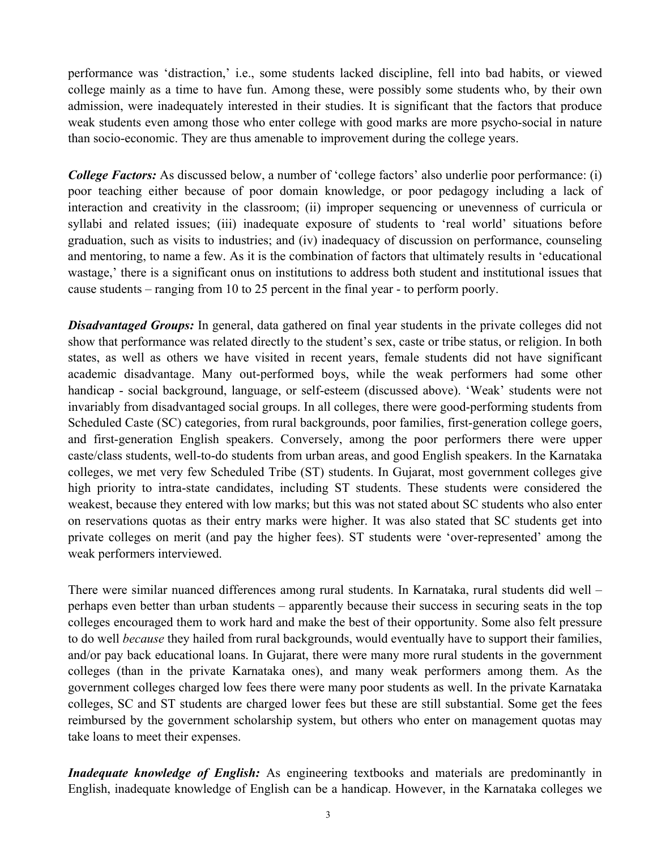performance was 'distraction,' i.e., some students lacked discipline, fell into bad habits, or viewed college mainly as a time to have fun. Among these, were possibly some students who, by their own admission, were inadequately interested in their studies. It is significant that the factors that produce weak students even among those who enter college with good marks are more psycho-social in nature than socio-economic. They are thus amenable to improvement during the college years.

*College Factors:* As discussed below, a number of 'college factors' also underlie poor performance: (i) poor teaching either because of poor domain knowledge, or poor pedagogy including a lack of interaction and creativity in the classroom; (ii) improper sequencing or unevenness of curricula or syllabi and related issues; (iii) inadequate exposure of students to 'real world' situations before graduation, such as visits to industries; and (iv) inadequacy of discussion on performance, counseling and mentoring, to name a few. As it is the combination of factors that ultimately results in 'educational wastage,' there is a significant onus on institutions to address both student and institutional issues that cause students – ranging from 10 to 25 percent in the final year - to perform poorly.

**Disadvantaged Groups:** In general, data gathered on final year students in the private colleges did not show that performance was related directly to the student's sex, caste or tribe status, or religion. In both states, as well as others we have visited in recent years, female students did not have significant academic disadvantage. Many out-performed boys, while the weak performers had some other handicap - social background, language, or self-esteem (discussed above). 'Weak' students were not invariably from disadvantaged social groups. In all colleges, there were good-performing students from Scheduled Caste (SC) categories, from rural backgrounds, poor families, first-generation college goers, and first-generation English speakers. Conversely, among the poor performers there were upper caste/class students, well-to-do students from urban areas, and good English speakers. In the Karnataka colleges, we met very few Scheduled Tribe (ST) students. In Gujarat, most government colleges give high priority to intra-state candidates, including ST students. These students were considered the weakest, because they entered with low marks; but this was not stated about SC students who also enter on reservations quotas as their entry marks were higher. It was also stated that SC students get into private colleges on merit (and pay the higher fees). ST students were 'over-represented' among the weak performers interviewed.

There were similar nuanced differences among rural students. In Karnataka, rural students did well – perhaps even better than urban students – apparently because their success in securing seats in the top colleges encouraged them to work hard and make the best of their opportunity. Some also felt pressure to do well *because* they hailed from rural backgrounds, would eventually have to support their families, and/or pay back educational loans. In Gujarat, there were many more rural students in the government colleges (than in the private Karnataka ones), and many weak performers among them. As the government colleges charged low fees there were many poor students as well. In the private Karnataka colleges, SC and ST students are charged lower fees but these are still substantial. Some get the fees reimbursed by the government scholarship system, but others who enter on management quotas may take loans to meet their expenses.

*Inadequate knowledge of English:* As engineering textbooks and materials are predominantly in English, inadequate knowledge of English can be a handicap. However, in the Karnataka colleges we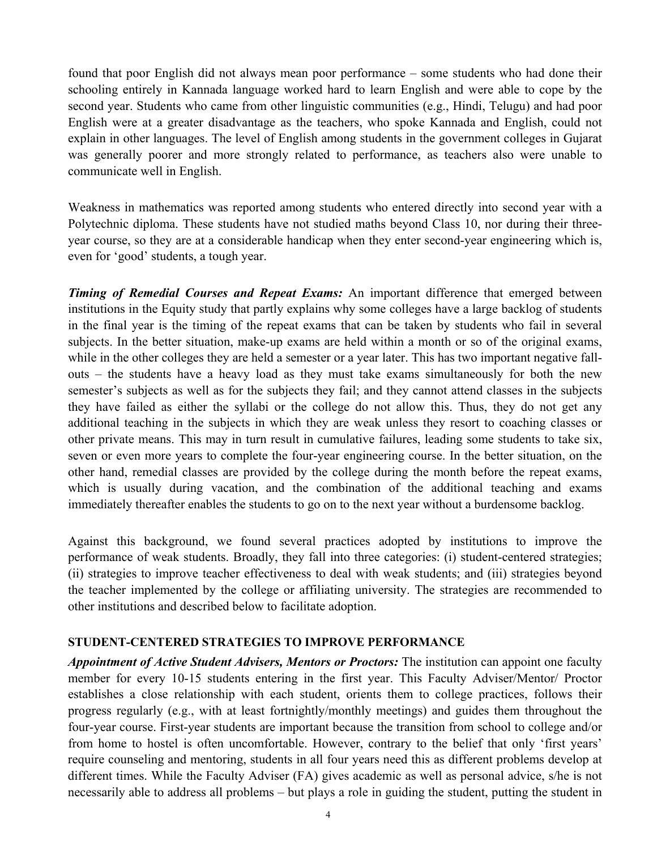found that poor English did not always mean poor performance – some students who had done their schooling entirely in Kannada language worked hard to learn English and were able to cope by the second year. Students who came from other linguistic communities (e.g., Hindi, Telugu) and had poor English were at a greater disadvantage as the teachers, who spoke Kannada and English, could not explain in other languages. The level of English among students in the government colleges in Gujarat was generally poorer and more strongly related to performance, as teachers also were unable to communicate well in English.

Weakness in mathematics was reported among students who entered directly into second year with a Polytechnic diploma. These students have not studied maths beyond Class 10, nor during their threeyear course, so they are at a considerable handicap when they enter second-year engineering which is, even for 'good' students, a tough year.

*Timing of Remedial Courses and Repeat Exams:* An important difference that emerged between institutions in the Equity study that partly explains why some colleges have a large backlog of students in the final year is the timing of the repeat exams that can be taken by students who fail in several subjects. In the better situation, make-up exams are held within a month or so of the original exams, while in the other colleges they are held a semester or a year later. This has two important negative fallouts – the students have a heavy load as they must take exams simultaneously for both the new semester's subjects as well as for the subjects they fail; and they cannot attend classes in the subjects they have failed as either the syllabi or the college do not allow this. Thus, they do not get any additional teaching in the subjects in which they are weak unless they resort to coaching classes or other private means. This may in turn result in cumulative failures, leading some students to take six, seven or even more years to complete the four-year engineering course. In the better situation, on the other hand, remedial classes are provided by the college during the month before the repeat exams, which is usually during vacation, and the combination of the additional teaching and exams immediately thereafter enables the students to go on to the next year without a burdensome backlog.

Against this background, we found several practices adopted by institutions to improve the performance of weak students. Broadly, they fall into three categories: (i) student-centered strategies; (ii) strategies to improve teacher effectiveness to deal with weak students; and (iii) strategies beyond the teacher implemented by the college or affiliating university. The strategies are recommended to other institutions and described below to facilitate adoption.

#### **STUDENT-CENTERED STRATEGIES TO IMPROVE PERFORMANCE**

*Appointment of Active Student Advisers, Mentors or Proctors:* The institution can appoint one faculty member for every 10-15 students entering in the first year. This Faculty Adviser/Mentor/ Proctor establishes a close relationship with each student, orients them to college practices, follows their progress regularly (e.g., with at least fortnightly/monthly meetings) and guides them throughout the four-year course. First-year students are important because the transition from school to college and/or from home to hostel is often uncomfortable. However, contrary to the belief that only 'first years' require counseling and mentoring, students in all four years need this as different problems develop at different times. While the Faculty Adviser (FA) gives academic as well as personal advice, s/he is not necessarily able to address all problems – but plays a role in guiding the student, putting the student in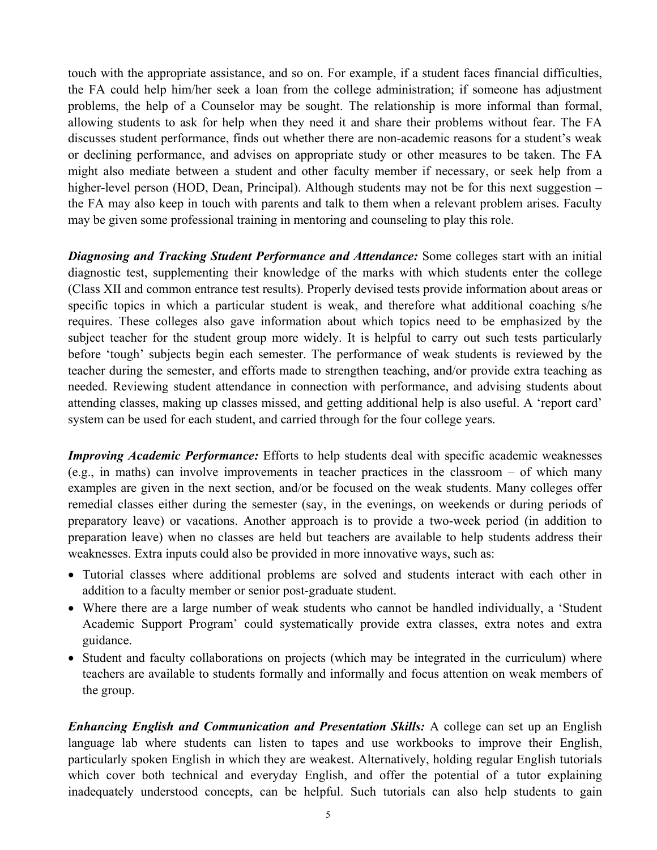touch with the appropriate assistance, and so on. For example, if a student faces financial difficulties, the FA could help him/her seek a loan from the college administration; if someone has adjustment problems, the help of a Counselor may be sought. The relationship is more informal than formal, allowing students to ask for help when they need it and share their problems without fear. The FA discusses student performance, finds out whether there are non-academic reasons for a student's weak or declining performance, and advises on appropriate study or other measures to be taken. The FA might also mediate between a student and other faculty member if necessary, or seek help from a higher-level person (HOD, Dean, Principal). Although students may not be for this next suggestion – the FA may also keep in touch with parents and talk to them when a relevant problem arises. Faculty may be given some professional training in mentoring and counseling to play this role.

*Diagnosing and Tracking Student Performance and Attendance:* Some colleges start with an initial diagnostic test, supplementing their knowledge of the marks with which students enter the college (Class XII and common entrance test results). Properly devised tests provide information about areas or specific topics in which a particular student is weak, and therefore what additional coaching s/he requires. These colleges also gave information about which topics need to be emphasized by the subject teacher for the student group more widely. It is helpful to carry out such tests particularly before 'tough' subjects begin each semester. The performance of weak students is reviewed by the teacher during the semester, and efforts made to strengthen teaching, and/or provide extra teaching as needed. Reviewing student attendance in connection with performance, and advising students about attending classes, making up classes missed, and getting additional help is also useful. A 'report card' system can be used for each student, and carried through for the four college years.

*Improving Academic Performance:* Efforts to help students deal with specific academic weaknesses (e.g., in maths) can involve improvements in teacher practices in the classroom – of which many examples are given in the next section, and/or be focused on the weak students. Many colleges offer remedial classes either during the semester (say, in the evenings, on weekends or during periods of preparatory leave) or vacations. Another approach is to provide a two-week period (in addition to preparation leave) when no classes are held but teachers are available to help students address their weaknesses. Extra inputs could also be provided in more innovative ways, such as:

- Tutorial classes where additional problems are solved and students interact with each other in addition to a faculty member or senior post-graduate student.
- Where there are a large number of weak students who cannot be handled individually, a 'Student Academic Support Program' could systematically provide extra classes, extra notes and extra guidance.
- Student and faculty collaborations on projects (which may be integrated in the curriculum) where teachers are available to students formally and informally and focus attention on weak members of the group.

*Enhancing English and Communication and Presentation Skills:* A college can set up an English language lab where students can listen to tapes and use workbooks to improve their English, particularly spoken English in which they are weakest. Alternatively, holding regular English tutorials which cover both technical and everyday English, and offer the potential of a tutor explaining inadequately understood concepts, can be helpful. Such tutorials can also help students to gain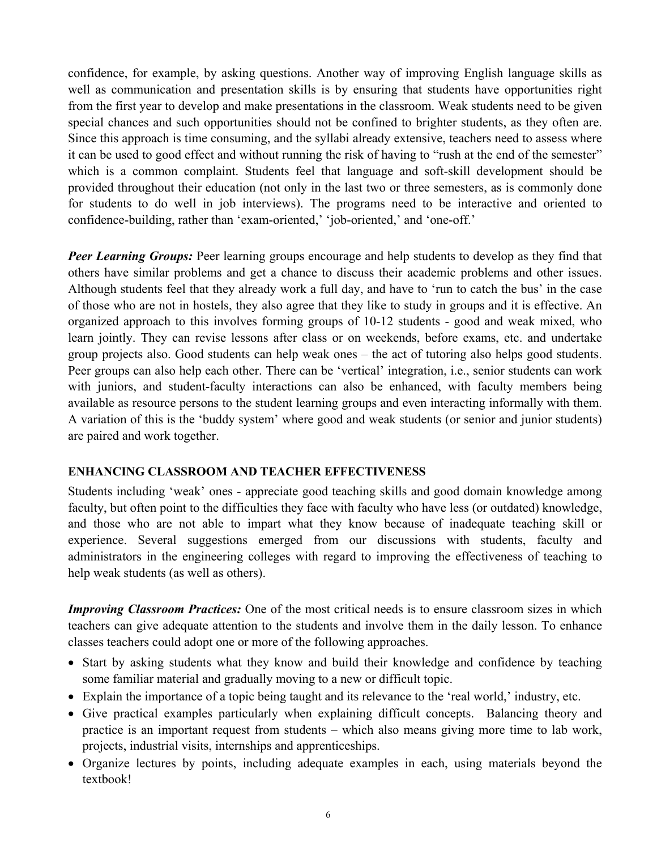confidence, for example, by asking questions. Another way of improving English language skills as well as communication and presentation skills is by ensuring that students have opportunities right from the first year to develop and make presentations in the classroom. Weak students need to be given special chances and such opportunities should not be confined to brighter students, as they often are. Since this approach is time consuming, and the syllabi already extensive, teachers need to assess where it can be used to good effect and without running the risk of having to "rush at the end of the semester" which is a common complaint. Students feel that language and soft-skill development should be provided throughout their education (not only in the last two or three semesters, as is commonly done for students to do well in job interviews). The programs need to be interactive and oriented to confidence-building, rather than 'exam-oriented,' 'job-oriented,' and 'one-off.'

*Peer Learning Groups:* Peer learning groups encourage and help students to develop as they find that others have similar problems and get a chance to discuss their academic problems and other issues. Although students feel that they already work a full day, and have to 'run to catch the bus' in the case of those who are not in hostels, they also agree that they like to study in groups and it is effective. An organized approach to this involves forming groups of 10-12 students - good and weak mixed, who learn jointly. They can revise lessons after class or on weekends, before exams, etc. and undertake group projects also. Good students can help weak ones – the act of tutoring also helps good students. Peer groups can also help each other. There can be 'vertical' integration, i.e., senior students can work with juniors, and student-faculty interactions can also be enhanced, with faculty members being available as resource persons to the student learning groups and even interacting informally with them. A variation of this is the 'buddy system' where good and weak students (or senior and junior students) are paired and work together.

## **ENHANCING CLASSROOM AND TEACHER EFFECTIVENESS**

Students including 'weak' ones - appreciate good teaching skills and good domain knowledge among faculty, but often point to the difficulties they face with faculty who have less (or outdated) knowledge, and those who are not able to impart what they know because of inadequate teaching skill or experience. Several suggestions emerged from our discussions with students, faculty and administrators in the engineering colleges with regard to improving the effectiveness of teaching to help weak students (as well as others).

*Improving Classroom Practices:* One of the most critical needs is to ensure classroom sizes in which teachers can give adequate attention to the students and involve them in the daily lesson. To enhance classes teachers could adopt one or more of the following approaches.

- Start by asking students what they know and build their knowledge and confidence by teaching some familiar material and gradually moving to a new or difficult topic.
- Explain the importance of a topic being taught and its relevance to the 'real world,' industry, etc.
- Give practical examples particularly when explaining difficult concepts. Balancing theory and practice is an important request from students – which also means giving more time to lab work, projects, industrial visits, internships and apprenticeships.
- Organize lectures by points, including adequate examples in each, using materials beyond the textbook!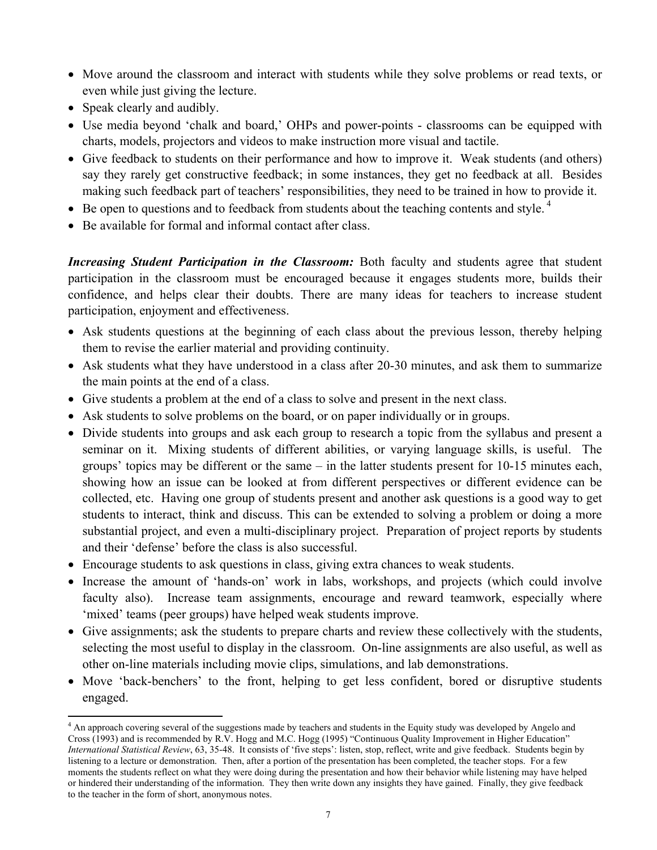- Move around the classroom and interact with students while they solve problems or read texts, or even while just giving the lecture.
- Speak clearly and audibly.
- Use media beyond 'chalk and board,' OHPs and power-points classrooms can be equipped with charts, models, projectors and videos to make instruction more visual and tactile.
- Give feedback to students on their performance and how to improve it. Weak students (and others) say they rarely get constructive feedback; in some instances, they get no feedback at all. Besides making such feedback part of teachers' responsibilities, they need to be trained in how to provide it.
- Be open to questions and to feedback from students about the teaching contents and style.<sup>4</sup>
- Be available for formal and informal contact after class.

*Increasing Student Participation in the Classroom:* Both faculty and students agree that student participation in the classroom must be encouraged because it engages students more, builds their confidence, and helps clear their doubts. There are many ideas for teachers to increase student participation, enjoyment and effectiveness.

- Ask students questions at the beginning of each class about the previous lesson, thereby helping them to revise the earlier material and providing continuity.
- Ask students what they have understood in a class after 20-30 minutes, and ask them to summarize the main points at the end of a class.
- Give students a problem at the end of a class to solve and present in the next class.
- Ask students to solve problems on the board, or on paper individually or in groups.
- Divide students into groups and ask each group to research a topic from the syllabus and present a seminar on it. Mixing students of different abilities, or varying language skills, is useful. The groups' topics may be different or the same – in the latter students present for 10-15 minutes each, showing how an issue can be looked at from different perspectives or different evidence can be collected, etc. Having one group of students present and another ask questions is a good way to get students to interact, think and discuss. This can be extended to solving a problem or doing a more substantial project, and even a multi-disciplinary project. Preparation of project reports by students and their 'defense' before the class is also successful.
- Encourage students to ask questions in class, giving extra chances to weak students.
- Increase the amount of 'hands-on' work in labs, workshops, and projects (which could involve faculty also). Increase team assignments, encourage and reward teamwork, especially where 'mixed' teams (peer groups) have helped weak students improve.
- Give assignments; ask the students to prepare charts and review these collectively with the students, selecting the most useful to display in the classroom. On-line assignments are also useful, as well as other on-line materials including movie clips, simulations, and lab demonstrations.
- Move 'back-benchers' to the front, helping to get less confident, bored or disruptive students engaged.

**<sup>.</sup>** <sup>4</sup> An approach covering several of the suggestions made by teachers and students in the Equity study was developed by Angelo and Cross (1993) and is recommended by R.V. Hogg and M.C. Hogg (1995) "Continuous Quality Improvement in Higher Education" *International Statistical Review*, 63, 35-48. It consists of 'five steps': listen, stop, reflect, write and give feedback. Students begin by listening to a lecture or demonstration. Then, after a portion of the presentation has been completed, the teacher stops. For a few moments the students reflect on what they were doing during the presentation and how their behavior while listening may have helped or hindered their understanding of the information. They then write down any insights they have gained. Finally, they give feedback to the teacher in the form of short, anonymous notes.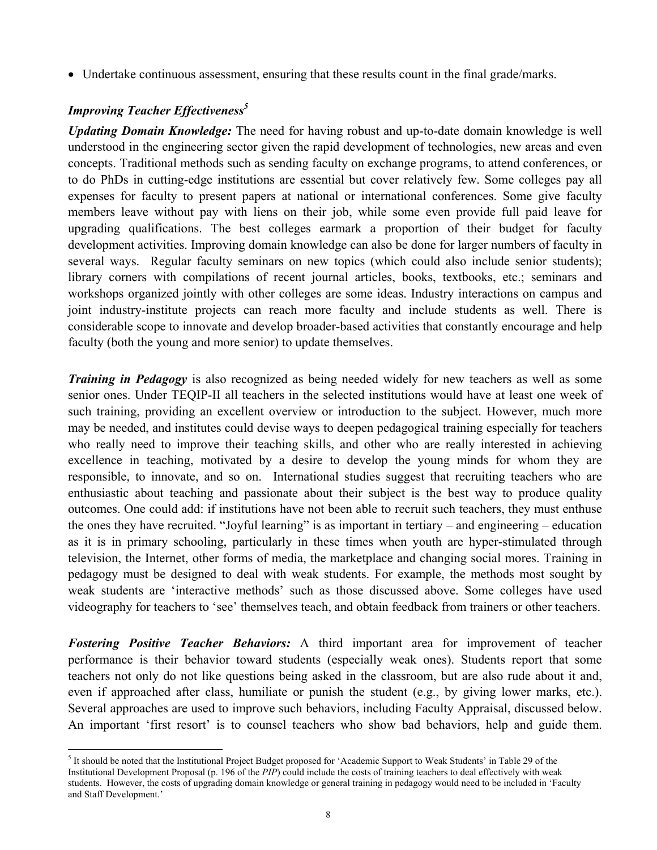• Undertake continuous assessment, ensuring that these results count in the final grade/marks.

## *Improving Teacher Effectiveness*<sup>5</sup>

*Updating Domain Knowledge:* The need for having robust and up-to-date domain knowledge is well understood in the engineering sector given the rapid development of technologies, new areas and even concepts. Traditional methods such as sending faculty on exchange programs, to attend conferences, or to do PhDs in cutting-edge institutions are essential but cover relatively few. Some colleges pay all expenses for faculty to present papers at national or international conferences. Some give faculty members leave without pay with liens on their job, while some even provide full paid leave for upgrading qualifications. The best colleges earmark a proportion of their budget for faculty development activities. Improving domain knowledge can also be done for larger numbers of faculty in several ways. Regular faculty seminars on new topics (which could also include senior students); library corners with compilations of recent journal articles, books, textbooks, etc.; seminars and workshops organized jointly with other colleges are some ideas. Industry interactions on campus and joint industry-institute projects can reach more faculty and include students as well. There is considerable scope to innovate and develop broader-based activities that constantly encourage and help faculty (both the young and more senior) to update themselves.

*Training in Pedagogy* is also recognized as being needed widely for new teachers as well as some senior ones. Under TEQIP-II all teachers in the selected institutions would have at least one week of such training, providing an excellent overview or introduction to the subject. However, much more may be needed, and institutes could devise ways to deepen pedagogical training especially for teachers who really need to improve their teaching skills, and other who are really interested in achieving excellence in teaching, motivated by a desire to develop the young minds for whom they are responsible, to innovate, and so on. International studies suggest that recruiting teachers who are enthusiastic about teaching and passionate about their subject is the best way to produce quality outcomes. One could add: if institutions have not been able to recruit such teachers, they must enthuse the ones they have recruited. "Joyful learning" is as important in tertiary – and engineering – education as it is in primary schooling, particularly in these times when youth are hyper-stimulated through television, the Internet, other forms of media, the marketplace and changing social mores. Training in pedagogy must be designed to deal with weak students. For example, the methods most sought by weak students are 'interactive methods' such as those discussed above. Some colleges have used videography for teachers to 'see' themselves teach, and obtain feedback from trainers or other teachers.

*Fostering Positive Teacher Behaviors:* A third important area for improvement of teacher performance is their behavior toward students (especially weak ones). Students report that some teachers not only do not like questions being asked in the classroom, but are also rude about it and, even if approached after class, humiliate or punish the student (e.g., by giving lower marks, etc.). Several approaches are used to improve such behaviors, including Faculty Appraisal, discussed below. An important 'first resort' is to counsel teachers who show bad behaviors, help and guide them.

<sup>&</sup>lt;sup>5</sup> It should be noted that the Institutional Project Budget proposed for 'Academic Support to Weak Students' in Table 29 of the Institutional Development Proposal (p. 196 of the *PIP*) could include the costs of training teachers to deal effectively with weak students. However, the costs of upgrading domain knowledge or general training in pedagogy would need to be included in 'Faculty and Staff Development.'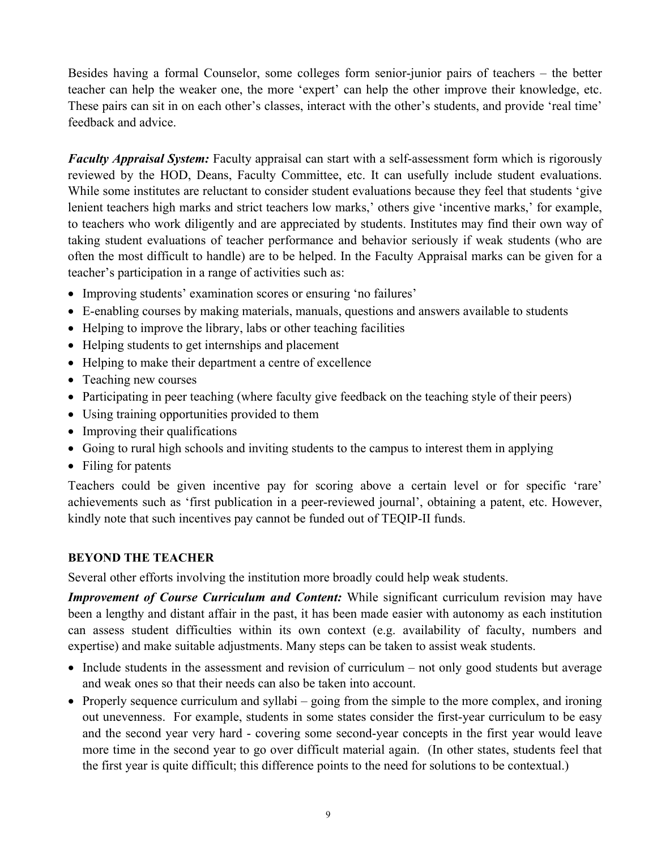Besides having a formal Counselor, some colleges form senior-junior pairs of teachers – the better teacher can help the weaker one, the more 'expert' can help the other improve their knowledge, etc. These pairs can sit in on each other's classes, interact with the other's students, and provide 'real time' feedback and advice.

*Faculty Appraisal System:* Faculty appraisal can start with a self-assessment form which is rigorously reviewed by the HOD, Deans, Faculty Committee, etc. It can usefully include student evaluations. While some institutes are reluctant to consider student evaluations because they feel that students 'give lenient teachers high marks and strict teachers low marks,' others give 'incentive marks,' for example, to teachers who work diligently and are appreciated by students. Institutes may find their own way of taking student evaluations of teacher performance and behavior seriously if weak students (who are often the most difficult to handle) are to be helped. In the Faculty Appraisal marks can be given for a teacher's participation in a range of activities such as:

- Improving students' examination scores or ensuring 'no failures'
- E-enabling courses by making materials, manuals, questions and answers available to students
- Helping to improve the library, labs or other teaching facilities
- Helping students to get internships and placement
- Helping to make their department a centre of excellence
- Teaching new courses
- Participating in peer teaching (where faculty give feedback on the teaching style of their peers)
- Using training opportunities provided to them
- Improving their qualifications
- Going to rural high schools and inviting students to the campus to interest them in applying
- Filing for patents

Teachers could be given incentive pay for scoring above a certain level or for specific 'rare' achievements such as 'first publication in a peer-reviewed journal', obtaining a patent, etc. However, kindly note that such incentives pay cannot be funded out of TEQIP-II funds.

## **BEYOND THE TEACHER**

Several other efforts involving the institution more broadly could help weak students.

*Improvement of Course Curriculum and Content: While significant curriculum revision may have* been a lengthy and distant affair in the past, it has been made easier with autonomy as each institution can assess student difficulties within its own context (e.g. availability of faculty, numbers and expertise) and make suitable adjustments. Many steps can be taken to assist weak students.

- Include students in the assessment and revision of curriculum not only good students but average and weak ones so that their needs can also be taken into account.
- Properly sequence curriculum and syllabi going from the simple to the more complex, and ironing out unevenness. For example, students in some states consider the first-year curriculum to be easy and the second year very hard - covering some second-year concepts in the first year would leave more time in the second year to go over difficult material again. (In other states, students feel that the first year is quite difficult; this difference points to the need for solutions to be contextual.)